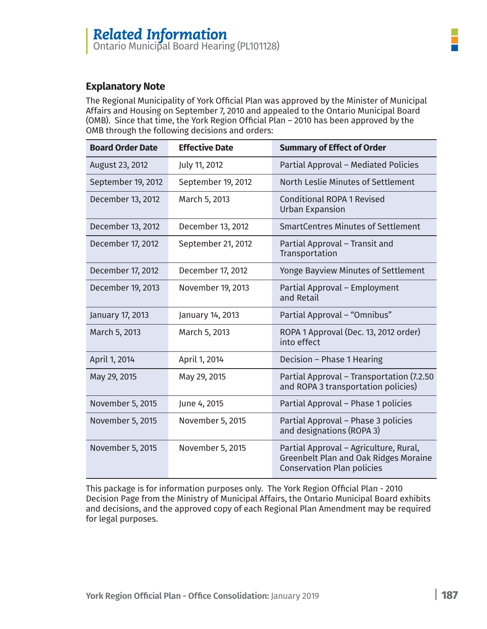### **Explanatory Note**

The Regional Municipality of York Official Plan was approved by the Minister of Municipal Affairs and Housing on September 7, 2010 and appealed to the Ontario Municipal Board (OMB). Since that time, the York Region Official Plan – 2010 has been approved by the OMB through the following decisions and orders:

| <b>Board Order Date</b> | <b>Effective Date</b> | <b>Summary of Effect of Order</b>                                                                                           |
|-------------------------|-----------------------|-----------------------------------------------------------------------------------------------------------------------------|
| August 23, 2012         | July 11, 2012         | Partial Approval - Mediated Policies                                                                                        |
| September 19, 2012      | September 19, 2012    | North Leslie Minutes of Settlement                                                                                          |
| December 13, 2012       | March 5, 2013         | <b>Conditional ROPA 1 Revised</b><br><b>Urban Expansion</b>                                                                 |
| December 13, 2012       | December 13, 2012     | <b>SmartCentres Minutes of Settlement</b>                                                                                   |
| December 17, 2012       | September 21, 2012    | Partial Approval - Transit and<br>Transportation                                                                            |
| December 17, 2012       | December 17, 2012     | Yonge Bayview Minutes of Settlement                                                                                         |
| December 19, 2013       | November 19, 2013     | Partial Approval - Employment<br>and Retail                                                                                 |
| January 17, 2013        | January 14, 2013      | Partial Approval - "Omnibus"                                                                                                |
| March 5, 2013           | March 5, 2013         | ROPA 1 Approval (Dec. 13, 2012 order)<br>into effect                                                                        |
| April 1, 2014           | April 1, 2014         | Decision - Phase 1 Hearing                                                                                                  |
| May 29, 2015            | May 29, 2015          | Partial Approval - Transportation (7.2.50<br>and ROPA 3 transportation policies)                                            |
| November 5, 2015        | June 4, 2015          | Partial Approval - Phase 1 policies                                                                                         |
| November 5, 2015        | November 5, 2015      | Partial Approval - Phase 3 policies<br>and designations (ROPA 3)                                                            |
| November 5, 2015        | November 5, 2015      | Partial Approval - Agriculture, Rural,<br><b>Greenbelt Plan and Oak Ridges Moraine</b><br><b>Conservation Plan policies</b> |

This package is for information purposes only. The York Region Official Plan - 2010 Decision Page from the Ministry of Municipal Affairs, the Ontario Municipal Board exhibits and decisions, and the approved copy of each Regional Plan Amendment may be required for legal purposes.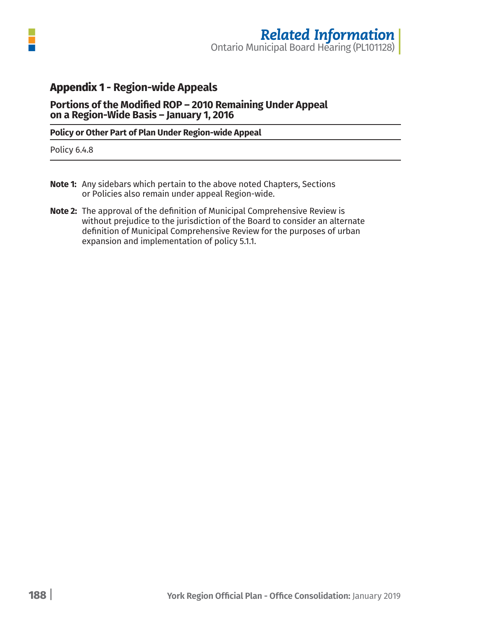

## **Appendix 1 - Region-wide Appeals**

**Portions of the Modified ROP – 2010 Remaining Under Appeal on a Region-Wide Basis ― January 1, 2016**

#### **Policy or Other Part of Plan Under Region-wide Appeal**

Policy 6.4.8

- **Note 1:** Any sidebars which pertain to the above noted Chapters, Sections or Policies also remain under appeal Region-wide.
- **Note 2:** The approval of the definition of Municipal Comprehensive Review is without prejudice to the jurisdiction of the Board to consider an alternate definition of Municipal Comprehensive Review for the purposes of urban expansion and implementation of policy 5.1.1.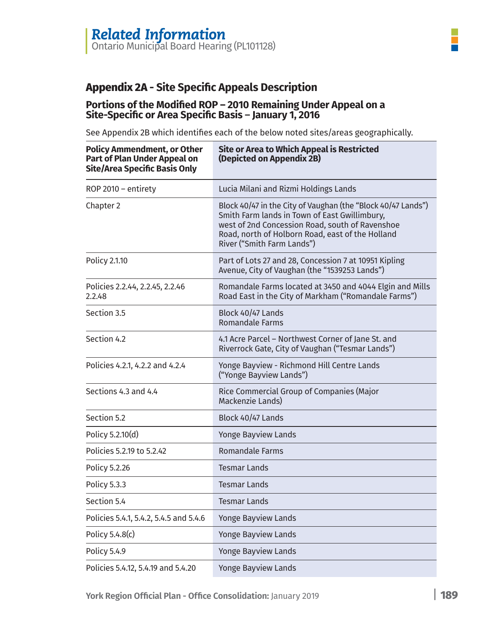# **Appendix 2A - Site Specific Appeals Description**

#### **Portions of the Modified ROP – 2010 Remaining Under Appeal on a Site-Specific or Area Specific Basis** ― **January 1, 2016**

See Appendix 2B which identifies each of the below noted sites/areas geographically.

| <b>Policy Ammendment, or Other</b><br><b>Part of Plan Under Appeal on</b><br><b>Site/Area Specific Basis Only</b> | <b>Site or Area to Which Appeal is Restricted</b><br>(Depicted on Appendix 2B)                                                                                                                                                                     |  |
|-------------------------------------------------------------------------------------------------------------------|----------------------------------------------------------------------------------------------------------------------------------------------------------------------------------------------------------------------------------------------------|--|
| ROP 2010 - entirety                                                                                               | Lucia Milani and Rizmi Holdings Lands                                                                                                                                                                                                              |  |
| Chapter 2                                                                                                         | Block 40/47 in the City of Vaughan (the "Block 40/47 Lands")<br>Smith Farm lands in Town of East Gwillimbury,<br>west of 2nd Concession Road, south of Ravenshoe<br>Road, north of Holborn Road, east of the Holland<br>River ("Smith Farm Lands") |  |
| Policy 2.1.10                                                                                                     | Part of Lots 27 and 28, Concession 7 at 10951 Kipling<br>Avenue, City of Vaughan (the "1539253 Lands")                                                                                                                                             |  |
| Policies 2.2.44, 2.2.45, 2.2.46<br>2.2.48                                                                         | Romandale Farms located at 3450 and 4044 Elgin and Mills<br>Road East in the City of Markham ("Romandale Farms")                                                                                                                                   |  |
| Section 3.5                                                                                                       | Block 40/47 Lands<br><b>Romandale Farms</b>                                                                                                                                                                                                        |  |
| Section 4.2                                                                                                       | 4.1 Acre Parcel - Northwest Corner of Jane St. and<br>Riverrock Gate, City of Vaughan ("Tesmar Lands")                                                                                                                                             |  |
| Policies 4.2.1, 4.2.2 and 4.2.4                                                                                   | Yonge Bayview - Richmond Hill Centre Lands<br>("Yonge Bayview Lands")                                                                                                                                                                              |  |
| Sections 4.3 and 4.4                                                                                              | Rice Commercial Group of Companies (Major<br>Mackenzie Lands)                                                                                                                                                                                      |  |
| Section 5.2                                                                                                       | Block 40/47 Lands                                                                                                                                                                                                                                  |  |
| Policy 5.2.10(d)                                                                                                  | <b>Yonge Bayview Lands</b>                                                                                                                                                                                                                         |  |
| Policies 5.2.19 to 5.2.42                                                                                         | <b>Romandale Farms</b>                                                                                                                                                                                                                             |  |
| Policy 5.2.26                                                                                                     | <b>Tesmar Lands</b>                                                                                                                                                                                                                                |  |
| Policy 5.3.3                                                                                                      | <b>Tesmar Lands</b>                                                                                                                                                                                                                                |  |
| Section 5.4                                                                                                       | <b>Tesmar Lands</b>                                                                                                                                                                                                                                |  |
| Policies 5.4.1, 5.4.2, 5.4.5 and 5.4.6                                                                            | <b>Yonge Bayview Lands</b>                                                                                                                                                                                                                         |  |
| Policy 5.4.8(c)                                                                                                   | <b>Yonge Bayview Lands</b>                                                                                                                                                                                                                         |  |
| Policy 5.4.9                                                                                                      | <b>Yonge Bayview Lands</b>                                                                                                                                                                                                                         |  |
| Policies 5.4.12, 5.4.19 and 5.4.20                                                                                | <b>Yonge Bayview Lands</b>                                                                                                                                                                                                                         |  |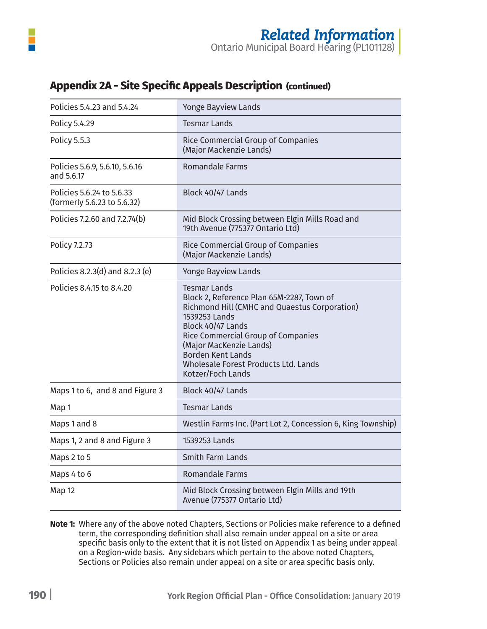| Policies 5.4.23 and 5.4.24                               | <b>Yonge Bayview Lands</b>                                                                                                                                                                                                                                                                                               |
|----------------------------------------------------------|--------------------------------------------------------------------------------------------------------------------------------------------------------------------------------------------------------------------------------------------------------------------------------------------------------------------------|
| Policy 5.4.29                                            | <b>Tesmar Lands</b>                                                                                                                                                                                                                                                                                                      |
| <b>Policy 5.5.3</b>                                      | <b>Rice Commercial Group of Companies</b><br>(Major Mackenzie Lands)                                                                                                                                                                                                                                                     |
| Policies 5.6.9, 5.6.10, 5.6.16<br>and 5.6.17             | Romandale Farms                                                                                                                                                                                                                                                                                                          |
| Policies 5.6.24 to 5.6.33<br>(formerly 5.6.23 to 5.6.32) | Block 40/47 Lands                                                                                                                                                                                                                                                                                                        |
| Policies 7.2.60 and 7.2.74(b)                            | Mid Block Crossing between Elgin Mills Road and<br>19th Avenue (775377 Ontario Ltd)                                                                                                                                                                                                                                      |
| Policy 7.2.73                                            | Rice Commercial Group of Companies<br>(Major Mackenzie Lands)                                                                                                                                                                                                                                                            |
| Policies 8.2.3(d) and 8.2.3 (e)                          | Yonge Bayview Lands                                                                                                                                                                                                                                                                                                      |
| Policies 8.4.15 to 8.4.20                                | <b>Tesmar Lands</b><br>Block 2, Reference Plan 65M-2287, Town of<br>Richmond Hill (CMHC and Quaestus Corporation)<br>1539253 Lands<br>Block 40/47 Lands<br><b>Rice Commercial Group of Companies</b><br>(Major MacKenzie Lands)<br><b>Borden Kent Lands</b><br>Wholesale Forest Products Ltd. Lands<br>Kotzer/Foch Lands |
| Maps 1 to 6, and 8 and Figure 3                          | Block 40/47 Lands                                                                                                                                                                                                                                                                                                        |
| Map 1                                                    | <b>Tesmar Lands</b>                                                                                                                                                                                                                                                                                                      |
| Maps 1 and 8                                             | Westlin Farms Inc. (Part Lot 2, Concession 6, King Township)                                                                                                                                                                                                                                                             |
| Maps 1, 2 and 8 and Figure 3                             | 1539253 Lands                                                                                                                                                                                                                                                                                                            |
| Maps 2 to 5                                              | Smith Farm Lands                                                                                                                                                                                                                                                                                                         |
| Maps 4 to 6                                              | <b>Romandale Farms</b>                                                                                                                                                                                                                                                                                                   |
| <b>Map 12</b>                                            | Mid Block Crossing between Elgin Mills and 19th<br>Avenue (775377 Ontario Ltd)                                                                                                                                                                                                                                           |

# **Appendix 2A - Site Specific Appeals Description (continued)**

**Note 1:** Where any of the above noted Chapters, Sections or Policies make reference to a defined term, the corresponding definition shall also remain under appeal on a site or area specific basis only to the extent that it is not listed on Appendix 1 as being under appeal on a Region-wide basis. Any sidebars which pertain to the above noted Chapters, Sections or Policies also remain under appeal on a site or area specific basis only.